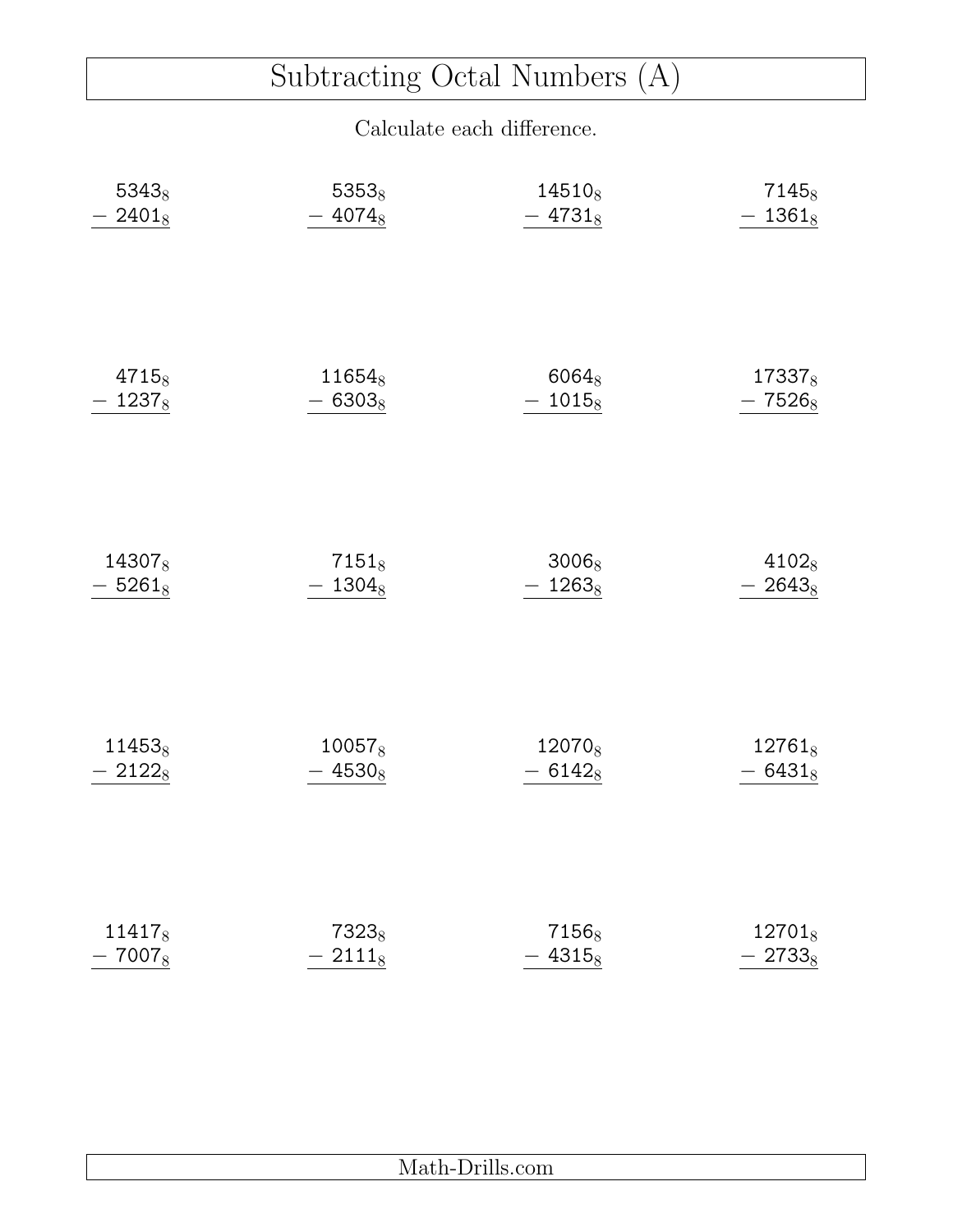# Subtracting Octal Numbers (A)

| 53438     | $5353_8$           | 14510 <sub>8</sub> | 7145 <sub>8</sub>  |
|-----------|--------------------|--------------------|--------------------|
| $2401_8$  | $-4074_8$          | $-4731_8$          | $-1361_8$          |
| $4715_8$  | 11654 <sub>8</sub> | $6064_8$           | 17337 <sub>8</sub> |
| $-1237_8$ | $-6303_8$          | $-1015_8$          | $-7526_8$          |
| 143078    | $7151_8$           | $3006_8$           | 41028              |
| $-5261_8$ | $-1304_8$          | $-1263_8$          | $-2643_8$          |
| 114538    | $10057_8$          | 12070 <sub>8</sub> | $12761_8$          |
| $-2122_8$ | $-4530_8$          | $-6142_8$          | $-6431_8$          |
| 114178    | 7323 <sub>8</sub>  | 7156 <sub>8</sub>  | 127018             |
| $-7007_8$ | $-2111_8$          | $-4315_8$          | $-2733_8$          |

| -- |  |
|----|--|
|    |  |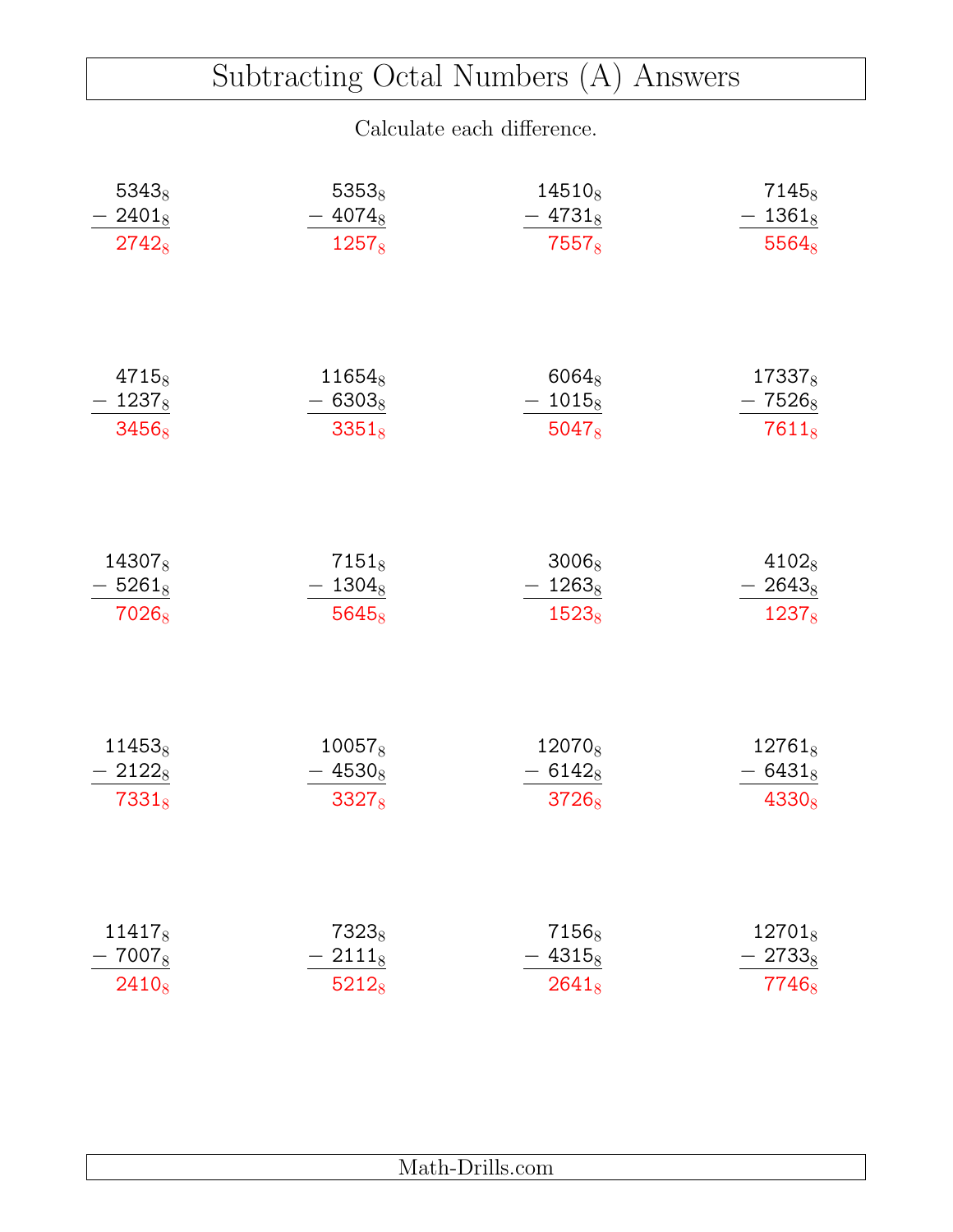### Subtracting Octal Numbers (A) Answers

| 53438             | 5353 <sub>8</sub> | $14510_8$          | 7145 <sub>8</sub>  |
|-------------------|-------------------|--------------------|--------------------|
| $2401_8$          | $-4074_8$         | $-4731_8$          | $-1361_8$          |
| $2742_8$          | 12578             | $7557_8$           | $5564_8$           |
| $4715_8$          | $11654_8$         | $6064_8$           | 17337 <sub>8</sub> |
| $1237_8$          | 63038             | $-1015_8$          | 7526 <sub>8</sub>  |
| 3456 <sub>8</sub> | $3351_8$          | $5047_8$           | $7611_8$           |
| 143078            | $7151_8$          | $3006_8$           | 4102 <sub>8</sub>  |
| $-5261_8$         | $-1304_8$         | $-1263_8$          | $-2643_8$          |
| 7026 <sub>8</sub> | 5645 <sub>8</sub> | $1523_8$           | $1237_8$           |
| $11453_8$         | $10057_8$         | 12070 <sub>8</sub> | $12761_8$          |
| $-21228$          | $-4530_8$         | $6142_8$           | $-6431_8$          |
| $7331_8$          | 3327 <sub>8</sub> | 37268              | $4330_8$           |
| 114178            | 7323 <sub>8</sub> | 7156 <sub>8</sub>  | $12701_8$          |
| 7007 $_8$         | $2111_8$          | $4315_8$           | $2733_8$           |
| $2410_8$          | 52128             | $2641_8$           | 7746 <sub>8</sub>  |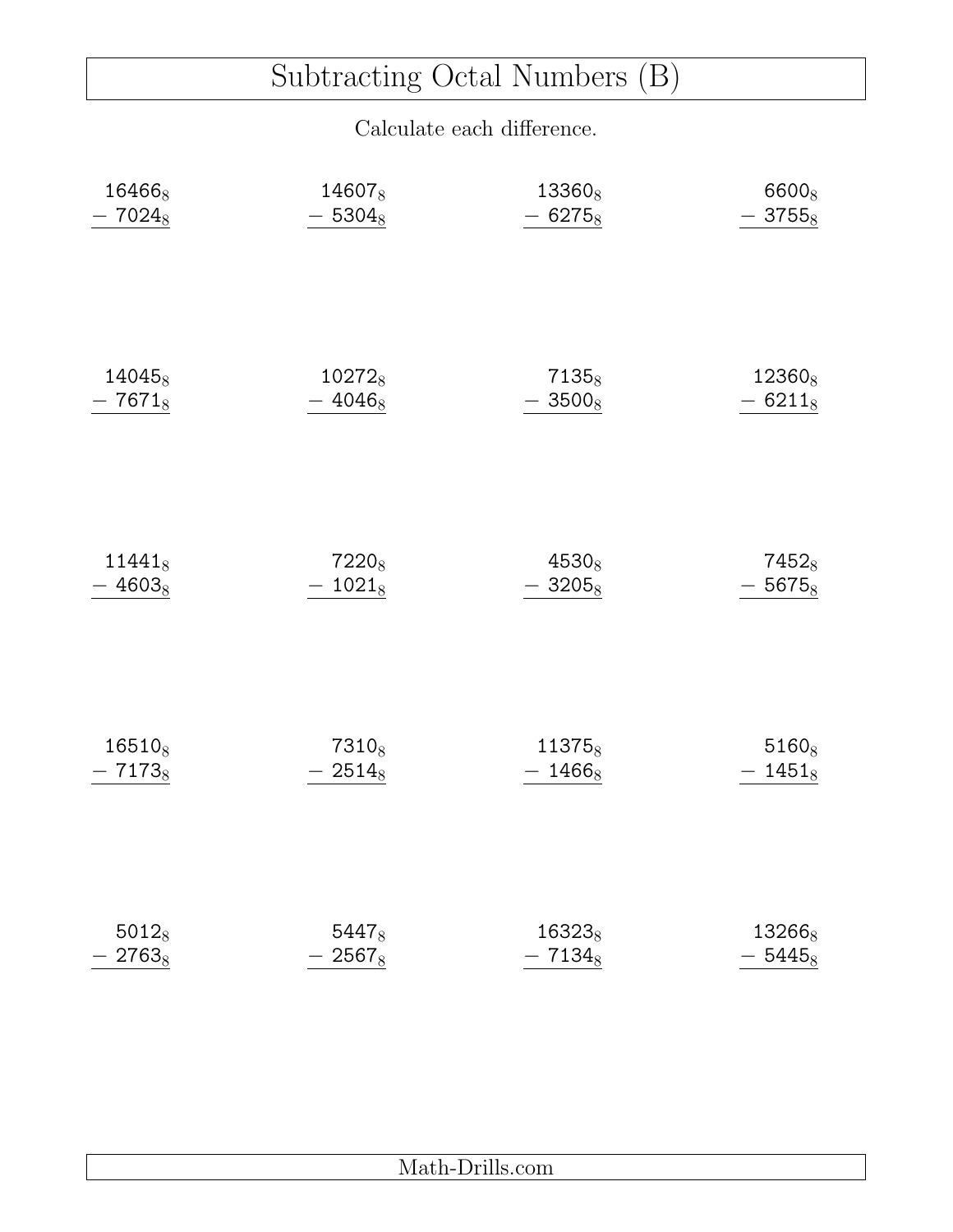# Subtracting Octal Numbers (B)

| 164668    | 146078             | 13360 <sub>8</sub> | 6600 <sub>8</sub>  |
|-----------|--------------------|--------------------|--------------------|
| $-7024_8$ | $-5304_8$          | $-6275_8$          | $-3755_8$          |
| $14045_8$ | 10272 <sub>8</sub> | 7135 <sub>8</sub>  | 12360 <sub>8</sub> |
| $-7671_8$ | $-4046_8$          | $-3500_8$          | $-6211_8$          |
| $11441_8$ | 7220 <sub>8</sub>  | 4530 <sub>8</sub>  | 7452 <sub>8</sub>  |
| $-4603_8$ | $-1021_8$          | $-3205_8$          | $-5675_8$          |
| $16510_8$ | 7310 <sub>8</sub>  | 11375 <sub>8</sub> | $5160_8$           |
| $-7173_8$ | $-2514_8$          | $-1466_8$          | $-1451_8$          |
| $5012_8$  | 5447 <sub>8</sub>  | 163238             | 13266 <sub>8</sub> |
| $-2763_8$ | $-2567_8$          | $-7134_8$          | $-5445_8$          |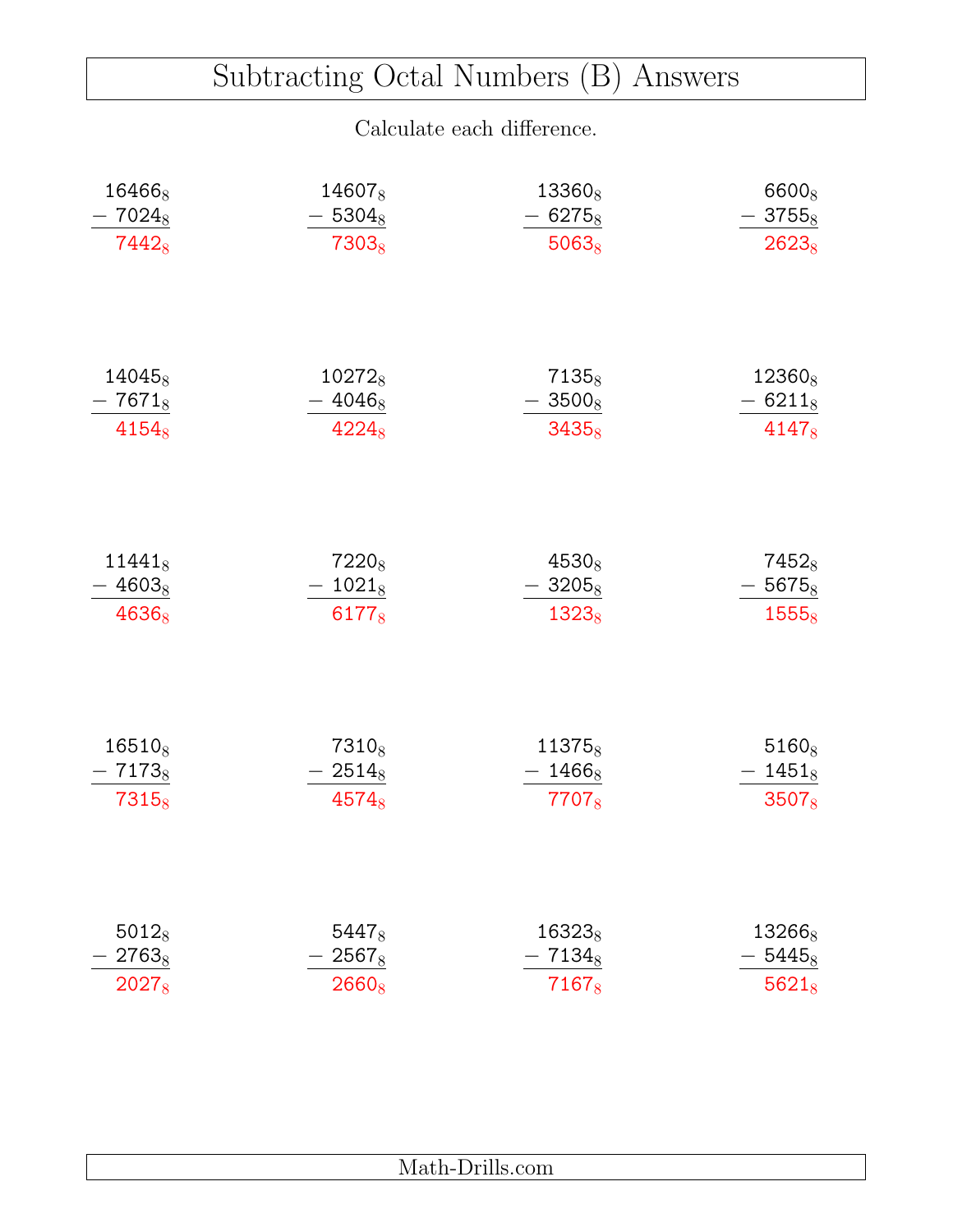### Subtracting Octal Numbers (B) Answers

| 164668             | 14607 <sub>8</sub> | 13360 <sub>8</sub> | 6600 <sub>8</sub>  |
|--------------------|--------------------|--------------------|--------------------|
| $7024_8$           | 5304 <sub>8</sub>  | $6275_8$           | $-3755_8$          |
| $7442_8$           | 7303 <sub>8</sub>  | $5063_8$           | $2623_8$           |
| 14045 <sub>8</sub> | 10272 <sub>8</sub> | 7135 <sub>8</sub>  | 12360 <sub>8</sub> |
| $-7671_8$          | 40468              | $-3500_8$          | $-6211_8$          |
| $4154_8$           | $4224_8$           | $3435_8$           | $4147_8$           |
| $11441_8$          | 7220 <sub>8</sub>  | $4530_8$           | 7452 <sub>8</sub>  |
| $-4603_8$          | $-1021_8$          | $-3205_8$          | $-5675_8$          |
| 4636 <sub>8</sub>  | 6177 <sub>8</sub>  | $1323_8$           | $1555_8$           |
| $16510_8$          | 7310 <sub>8</sub>  | 11375 <sub>8</sub> | $5160_8$           |
| $-7173_8$          | $-2514_8$          | $-1466_8$          | $-1451_8$          |
| 7315 <sub>8</sub>  | 4574 <sub>8</sub>  | 77078              | $3507_8$           |
| $5012_8$           | $5447_8$           | 16323 <sub>8</sub> | $13266_8$          |
| $2763_8$           | $2567_8$           | $7134_8$           | $5445_8$           |
| 2027 <sub>8</sub>  | 26608              | 7167 <sub>8</sub>  | $5621_8$           |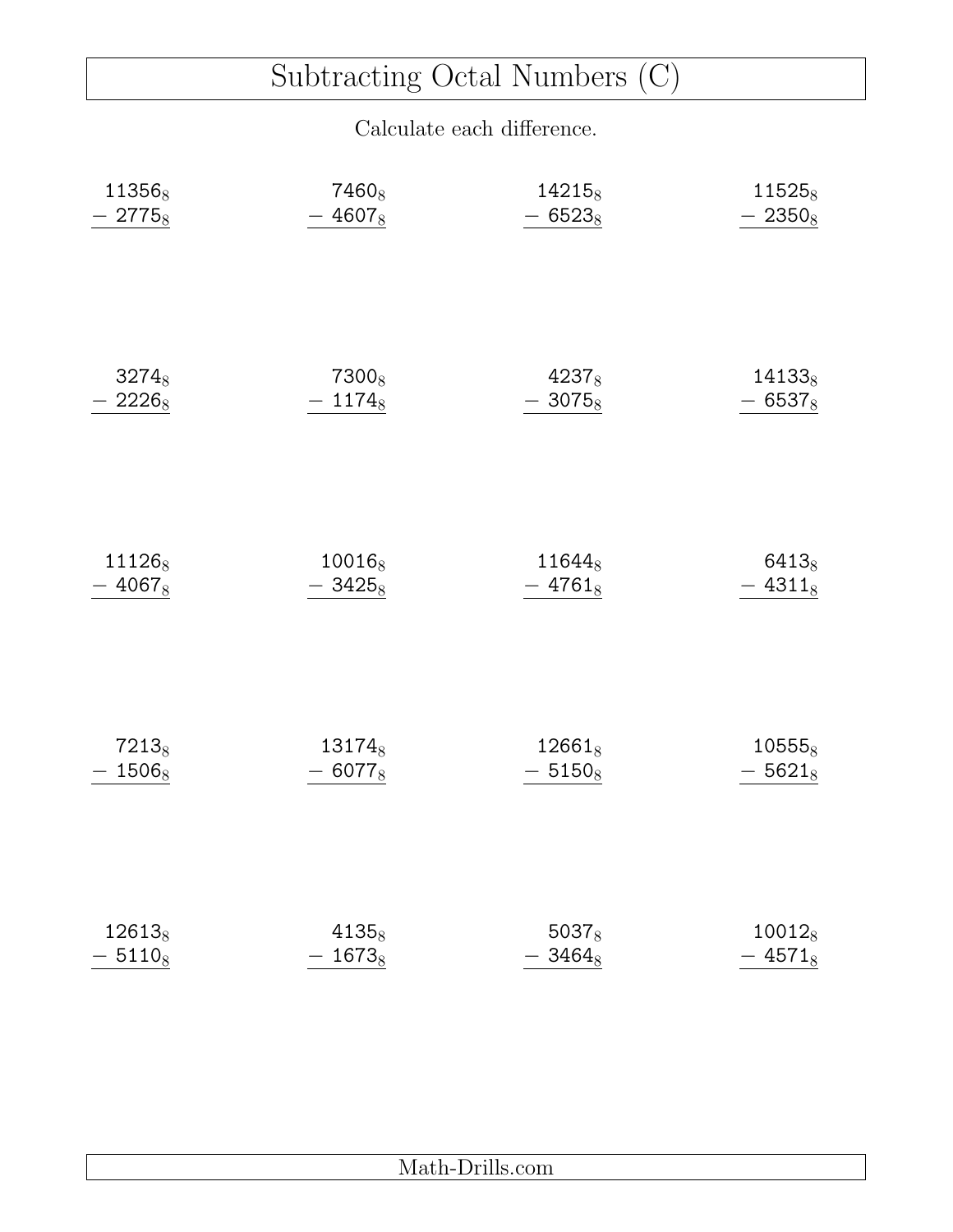# Subtracting Octal Numbers (C)

| 113568            | 7460 <sub>8</sub>  | 14215 <sub>8</sub> | 115258    |
|-------------------|--------------------|--------------------|-----------|
| $-2775_8$         | $-4607_8$          | $-6523_8$          | $-2350_8$ |
| $3274_8$          | 7300 <sub>8</sub>  | $4237_8$           | $14133_8$ |
| $-2226_8$         | $-1174_8$          | $-3075_8$          | $-6537_8$ |
| 111268            | 10016 <sub>8</sub> | 116448             | 64138     |
| $-4067_8$         | $-3425_8$          | $-4761_8$          | $-4311_8$ |
| 7213 <sub>8</sub> | 13174 <sub>8</sub> | $12661_8$          | $10555_8$ |
| $-1506_8$         | $-6077_8$          | $-5150_8$          | $-5621_8$ |
| 126138            | $4135_8$           | $5037_8$           | $10012_8$ |
| $-5110_8$         | $-1673_8$          | $-3464_8$          | $-4571_8$ |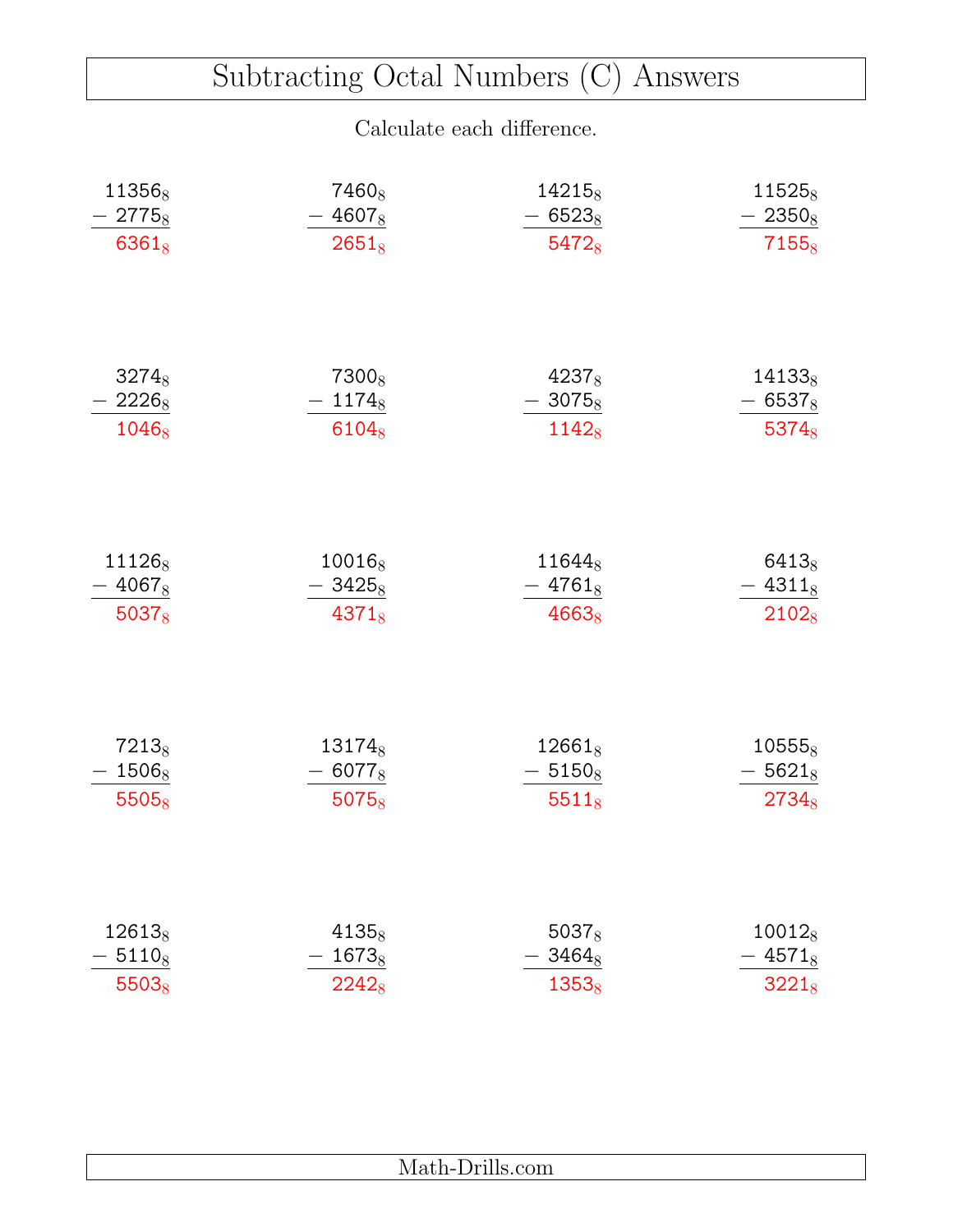### Subtracting Octal Numbers (C) Answers

| 11356 <sub>8</sub>                | 7460 <sub>8</sub>                                   | 14215 <sub>8</sub>             | 11525 <sub>8</sub>                                         |
|-----------------------------------|-----------------------------------------------------|--------------------------------|------------------------------------------------------------|
| $-2775_8$                         | $-4607_8$                                           | 65238                          | $-2350_8$                                                  |
| $6361_8$                          | $2651_8$                                            | 54728                          | $7155_8$                                                   |
| $3274_8$<br>$-2226_8$<br>$1046_8$ | 7300 <sub>8</sub><br>$-1174_8$<br>6104 <sub>8</sub> | $4237_8$<br>$-3075_8$<br>11428 | $14133_8$<br>65378<br>$\overline{\phantom{0}}$<br>$5374_8$ |
| 111268                            | $10016_8$                                           | 116448                         | $6413_8$                                                   |
| $-4067_8$                         | $-3425_8$                                           | $-4761_8$                      | $-4311_8$                                                  |
| $5037_8$                          | $4371_8$                                            | $4663_8$                       | $2102_8$                                                   |
| 7213 <sub>8</sub>                 | 13174 <sub>8</sub>                                  | $12661_8$                      | $10555_8$                                                  |
| $1506_8$                          | $-6077_8$                                           | $-51508$                       | $-5621_8$                                                  |
| $5505_8$                          | $5075_8$                                            | $5511_8$                       | $2734_8$                                                   |
| 12613 <sub>8</sub>                | $4135_8$                                            | $5037_8$                       | $10012_8$                                                  |
| $5110_8$                          | $1673_8$                                            | $3464_8$                       | $4571_8$                                                   |
| $5503_8$                          | 22428                                               | $1353_8$                       | $3221_8$                                                   |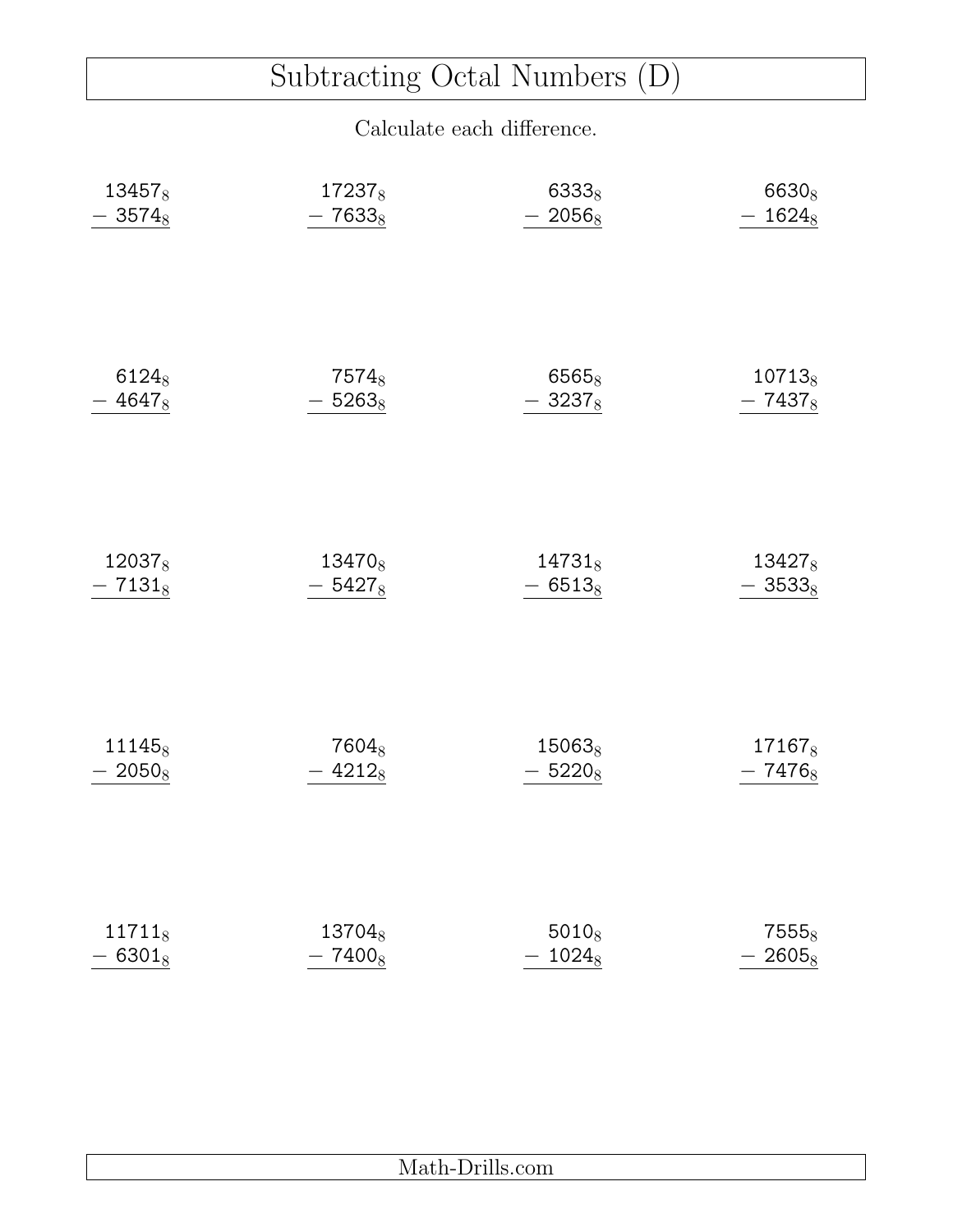# Subtracting Octal Numbers (D)

| 134578    | 172378             | 63338              | 6630 <sub>8</sub>  |
|-----------|--------------------|--------------------|--------------------|
| $-3574_8$ | $-7633_8$          | $-2056_8$          | $-1624_8$          |
| $6124_8$  | 7574 <sub>8</sub>  | $6565_8$           | $10713_8$          |
| $-4647_8$ | $-5263_8$          | $-3237_8$          | $-7437_8$          |
| 120378    | 13470 <sub>8</sub> | $14731_8$          | 134278             |
| $-7131_8$ | $-5427_8$          | $-6513_8$          | $-3533_8$          |
| 111458    | 7604 <sub>8</sub>  | 15063 <sub>8</sub> | 17167 <sub>8</sub> |
| $-2050_8$ | $-4212_8$          | $-5220_8$          | $-7476_8$          |
| $11711_8$ | 13704 <sub>8</sub> | $5010_8$           | 7555 <sub>8</sub>  |
| $-6301_8$ | $-7400_8$          | $-1024_8$          | $-2605_8$          |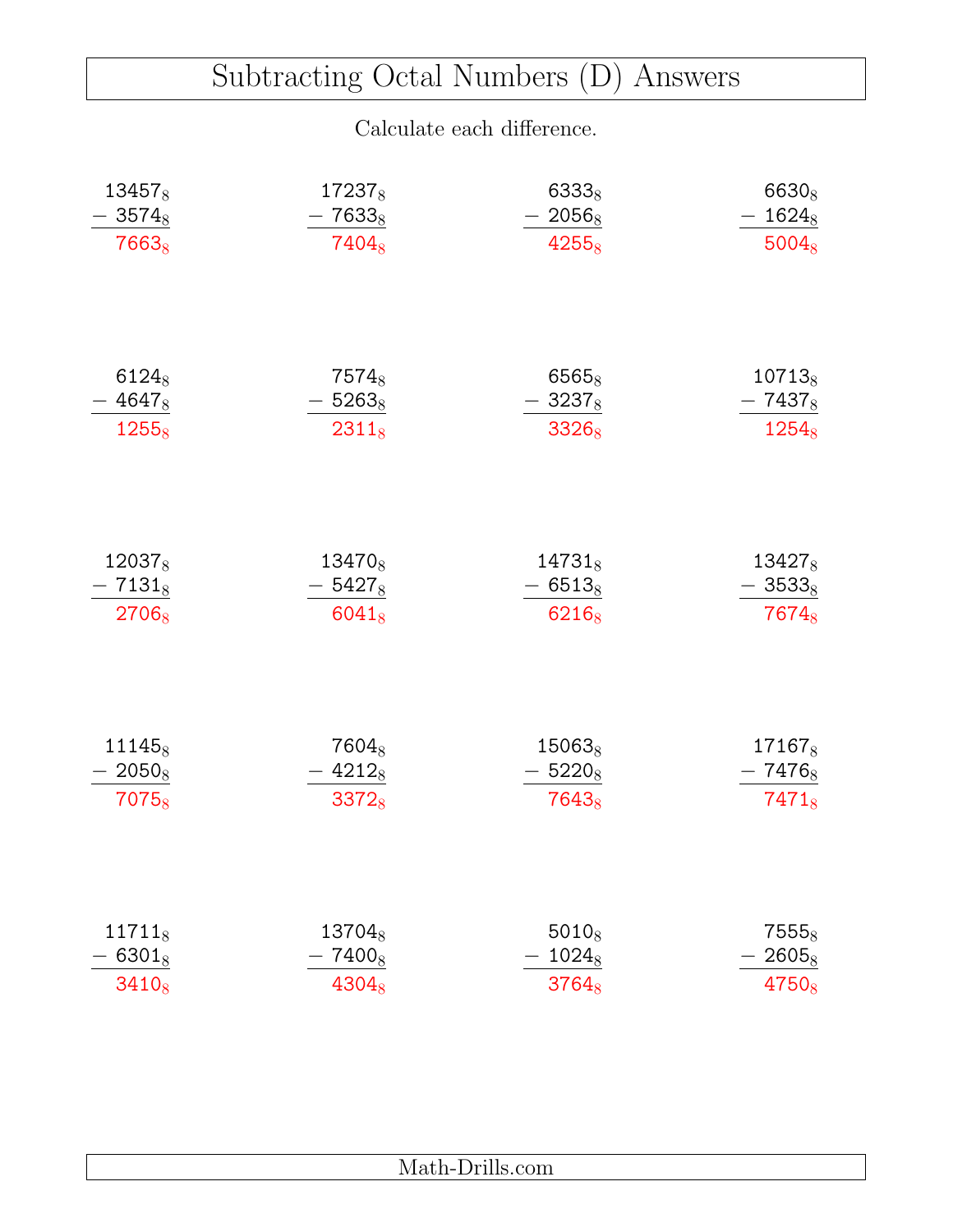### Subtracting Octal Numbers (D) Answers

| 13457 <sub>8</sub> | 172378             | 6333 <sub>8</sub> | 6630 <sub>8</sub>  |
|--------------------|--------------------|-------------------|--------------------|
| $3574_8$           | $7633_8$           | $-2056_8$         | $-1624_8$          |
| 7663 <sub>8</sub>  | 7404 <sub>8</sub>  | 42558             | $5004_8$           |
| $6124_8$           | 7574 <sub>8</sub>  | 6565 <sub>8</sub> | $10713_8$          |
| $-4647_8$          | $-5263_8$          | $-3237_8$         | $-7437_8$          |
| 12558              | $2311_8$           | 33268             | $1254_8$           |
| 120378             | 13470 <sub>8</sub> | $14731_8$         | 134278             |
| $-7131_8$          | $-5427_8$          | $-6513_8$         | $-3533_8$          |
| 2706 <sub>8</sub>  | $6041_8$           | 6216 <sub>8</sub> | 7674 $8$           |
| 11145 <sub>8</sub> | 7604 <sub>8</sub>  | $15063_8$         | 17167 <sub>8</sub> |
| $-2050_8$          | $-4212_8$          | $-5220_8$         | $-7476_8$          |
| 7075 <sub>8</sub>  | $3372_8$           | 7643 <sub>8</sub> | $7471_8$           |
| $11711_8$          | 13704 <sub>8</sub> | $5010_8$          | $7555_8$           |
| $6301_8$           | 74008              | $1024_8$          | $2605_8$           |
| $3410_8$           | $4304_8$           | $3764_8$          | 47508              |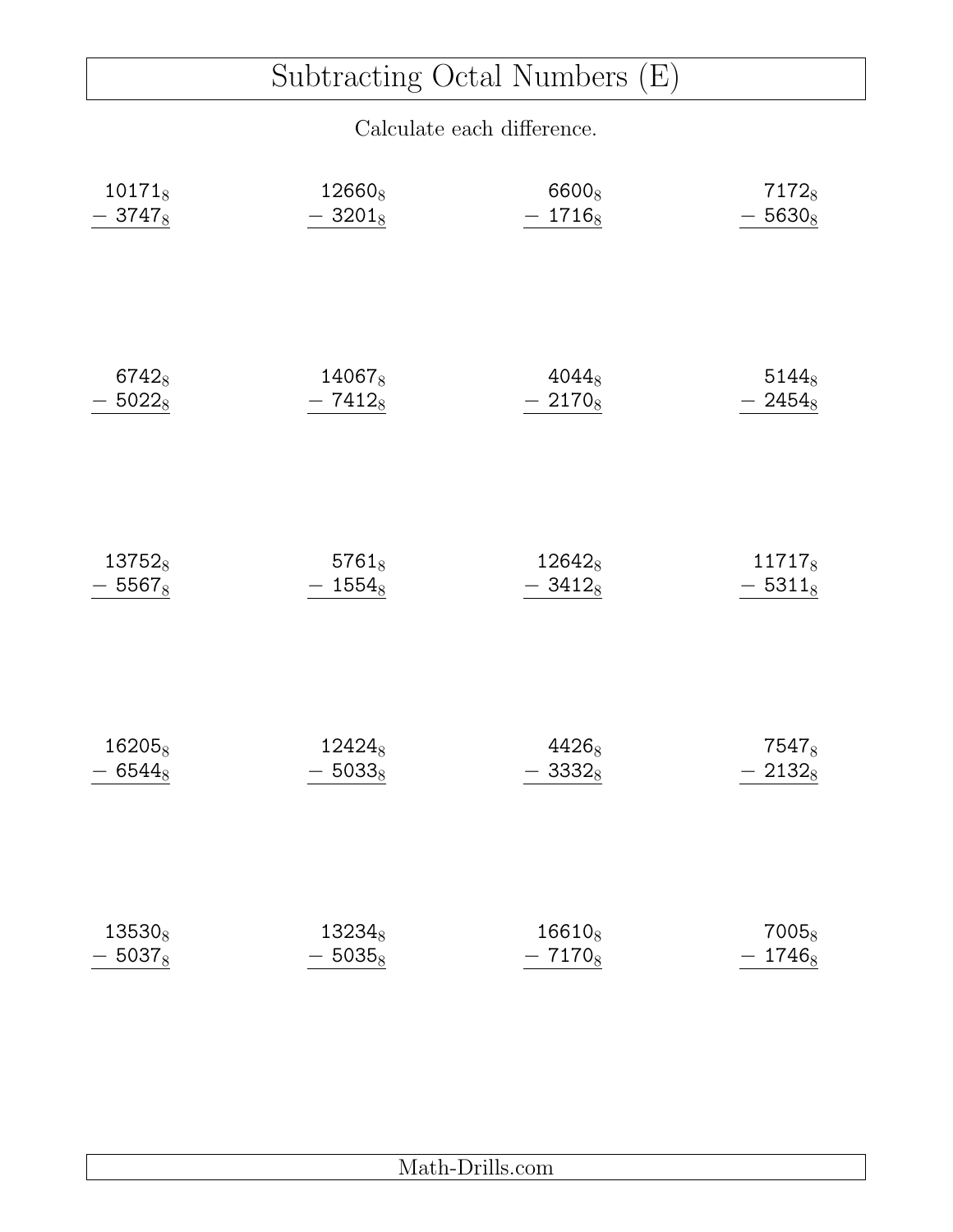# Subtracting Octal Numbers (E)

| $10171_8$          | 12660 <sub>8</sub> | 6600 <sub>8</sub> | 71728     |
|--------------------|--------------------|-------------------|-----------|
| $-3747_8$          | $-3201_8$          | $-1716_8$         | $-5630_8$ |
| $6742_8$           | 14067 <sub>8</sub> | $4044_8$          | $5144_8$  |
| $-5022_8$          | $-7412_8$          | $-2170_8$         | $-2454_8$ |
| 137528             | $5761_8$           | 126428            | 117178    |
| $-5567_8$          | $-1554_8$          | $-3412_8$         | $-5311_8$ |
| 16205 <sub>8</sub> | 12424 <sub>8</sub> | 4426 <sub>8</sub> | 75478     |
| $-6544_8$          | $-5033_8$          | $-3332_8$         | $-2132_8$ |
| 13530 <sub>8</sub> | 13234 <sub>8</sub> | $16610_8$         | $7005_8$  |
| $-5037_8$          | $-5035_8$          | $-7170_8$         | $-1746_8$ |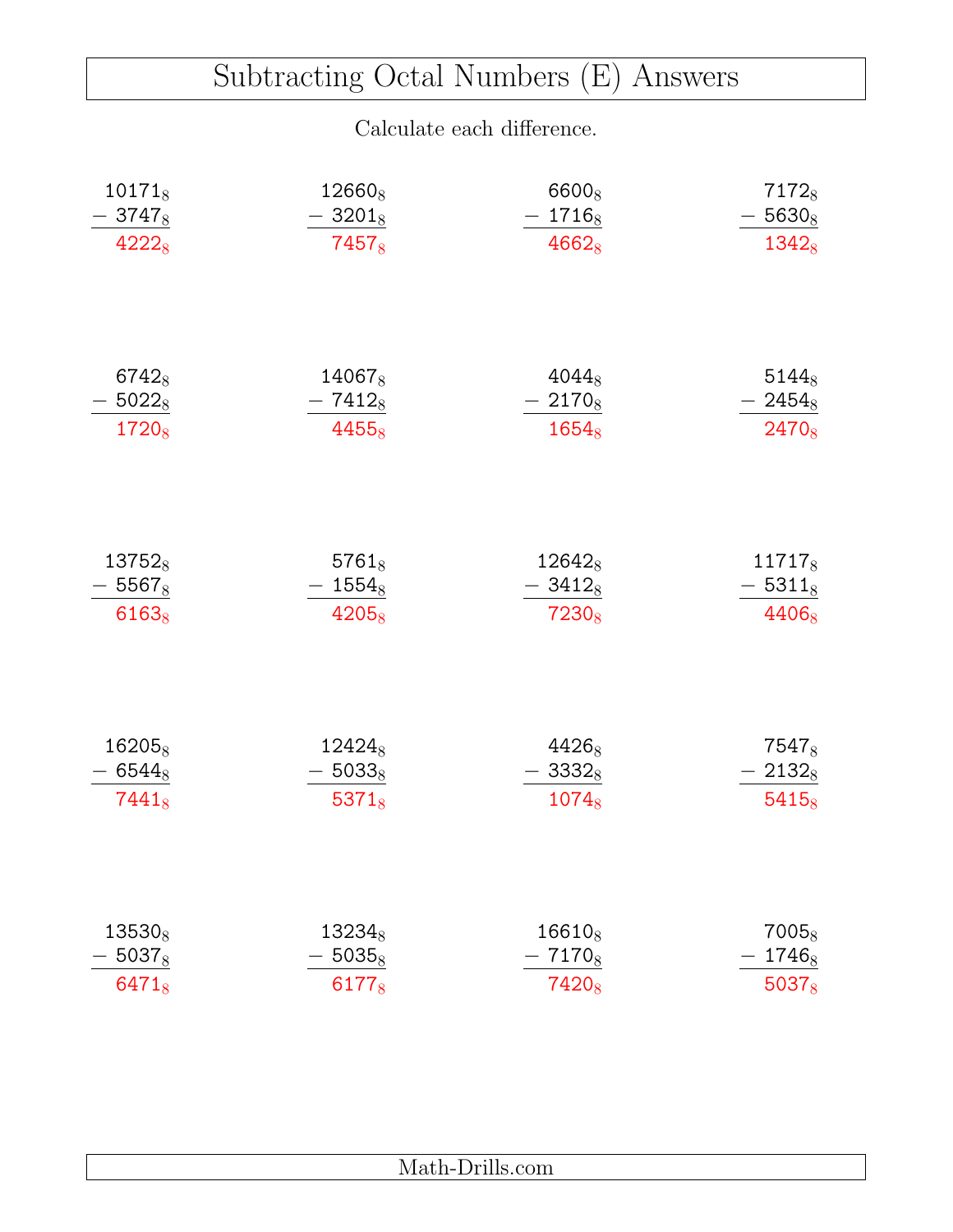### Subtracting Octal Numbers (E) Answers

| $10171_8$          | 12660 <sub>8</sub> | 6600 <sub>8</sub>  | 7172 <sub>8</sub> |
|--------------------|--------------------|--------------------|-------------------|
| $-3747_8$          | $-3201_8$          | $-1716_8$          | $-5630_8$         |
| $4222_8$           | 7457 <sub>8</sub>  | $4662_8$           | $1342_8$          |
| $6742_8$           | 14067 <sub>8</sub> | $4044_8$           | $5144_8$          |
| $-5022_8$          | $-7412_8$          | $-2170_8$          | $-2454_8$         |
| 1720 <sub>8</sub>  | 4455 <sub>8</sub>  | $1654_8$           | 2470 <sub>8</sub> |
| 137528             | $5761_8$           | 12642 <sub>8</sub> | 117178            |
| $-5567_8$          | $-1554_8$          | $-3412_8$          | $-5311_8$         |
| 61638              | 42058              | 7230 <sub>8</sub>  | 44068             |
| $16205_8$          | 12424 <sub>8</sub> | 44268              | 7547 <sub>8</sub> |
| $-6544_8$          | $-5033_8$          | $-3332_{8}$        | $-21328$          |
| $7441_8$           | $5371_8$           | $1074_8$           | $5415_8$          |
| 13530 <sub>8</sub> | $13234_8$          | 16610 <sub>8</sub> | 7005 <sub>8</sub> |
| $5037_8$           | $5035_8$           | 71708              | $1746_8$          |
| $6471_8$           | 61778              | 7420 <sub>8</sub>  | $5037_8$          |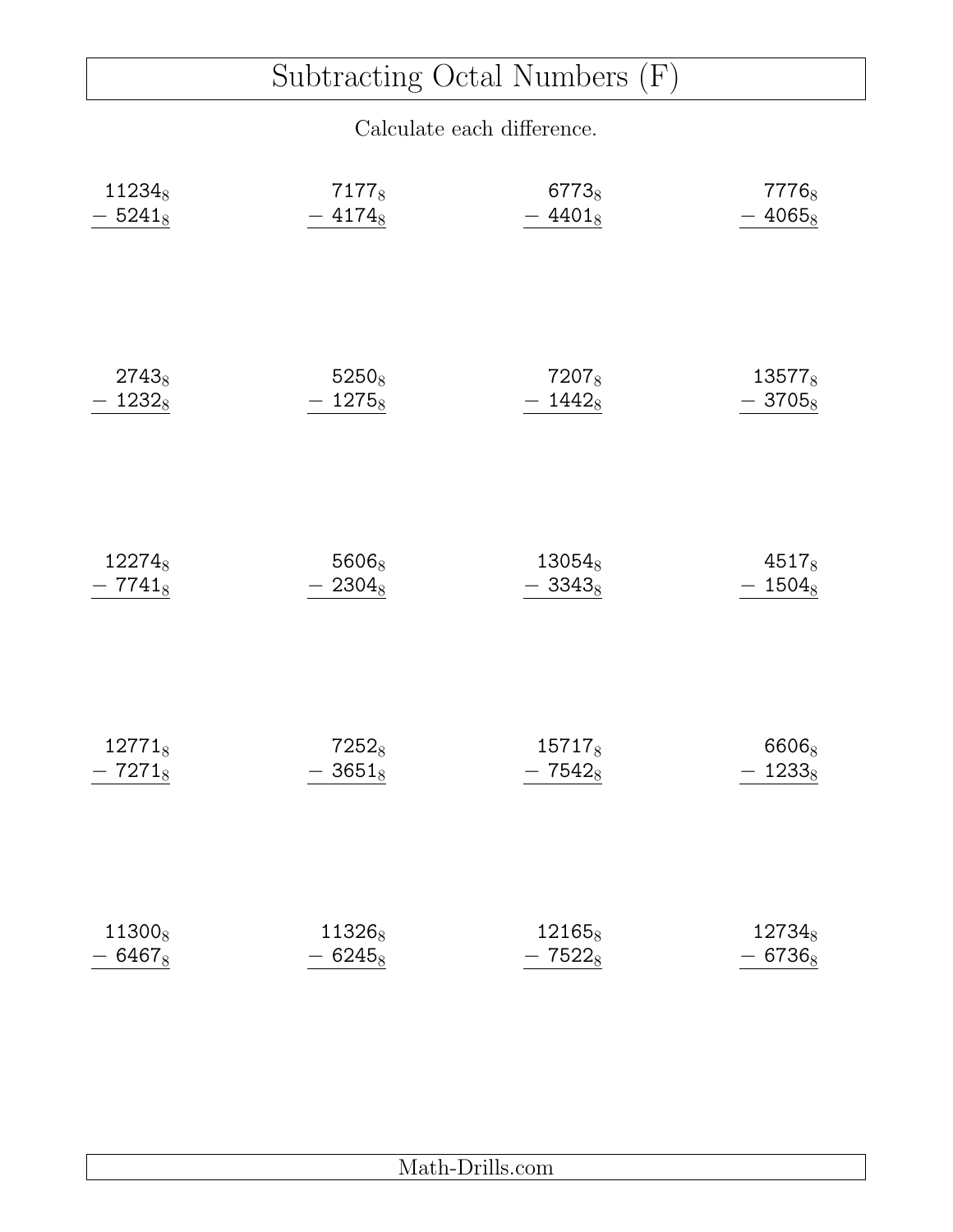# Subtracting Octal Numbers (F)

| 112348    | 71778              | 67738              | 7776 <sub>8</sub>  |
|-----------|--------------------|--------------------|--------------------|
| $-5241_8$ | $-4174_8$          | $-4401_8$          | $-4065_8$          |
| $2743_8$  | $5250_8$           | 7207 <sub>8</sub>  | 13577 <sub>8</sub> |
| $1232_8$  | $-1275_8$          | $-1442_8$          | $-3705_8$          |
| 122748    | 56068              | 13054 <sub>8</sub> | $4517_8$           |
| $-7741_8$ | $-2304_8$          | $-3343_8$          | $-1504_8$          |
| $12771_8$ | $7252_8$           | 15717 <sub>8</sub> | 6606 <sub>8</sub>  |
| $-7271_8$ | $-3651_8$          | $-7542_8$          | $-1233_8$          |
| 113008    | 11326 <sub>8</sub> | 12165 <sub>8</sub> | 12734 <sub>8</sub> |
| $-6467_8$ | $-6245_8$          | $-7522_8$          | $-6736_8$          |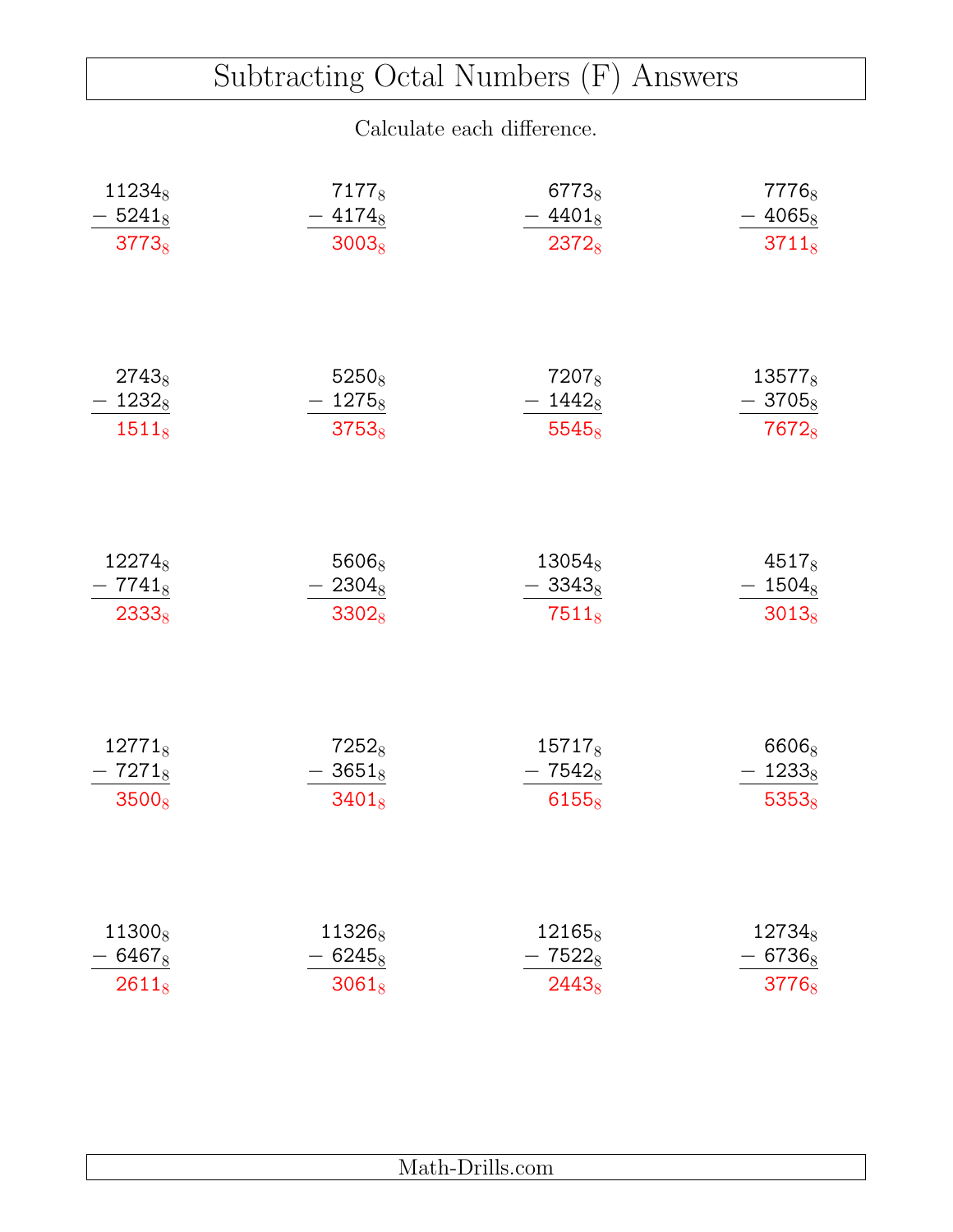### Subtracting Octal Numbers (F) Answers

| 112348             | 7177 <sub>8</sub>  | 67738              | 7776 <sub>8</sub>  |
|--------------------|--------------------|--------------------|--------------------|
| $-5241_8$          | $-4174_8$          | $-4401_8$          | $-4065_8$          |
| $3773_8$           | $3003_8$           | 23728              | $3711_8$           |
| $2743_8$           | $5250_8$           | 7207 <sub>8</sub>  | $13577_8$          |
| $-1232_8$          | $-1275_8$          | $-1442_8$          | $-3705_8$          |
| $1511_8$           | $3753_8$           | $5545_8$           | 7672 <sub>8</sub>  |
| 12274 <sub>8</sub> | 5606 <sub>8</sub>  | $13054_8$          | $4517_8$           |
| $-7741_8$          | $-2304_8$          | $-3343_8$          | $-1504_8$          |
| $2333_8$           | 33028              | $7511_8$           | $3013_8$           |
| $12771_8$          | $7252_8$           | 15717 <sub>8</sub> | 6606 <sub>8</sub>  |
| $-7271_8$          | $-3651_8$          | $-7542_8$          | $-1233_8$          |
| $3500_8$           | $3401_8$           | $6155_8$           | $5353_8$           |
| 11300 <sub>8</sub> | 11326 <sub>8</sub> | 12165 <sub>8</sub> | 12734 <sub>8</sub> |
| 6467 <sub>8</sub>  | $6245_8$           | $7522_8$           | $-6736_8$          |
| $2611_8$           | $3061_8$           | 24438              | 3776 <sub>8</sub>  |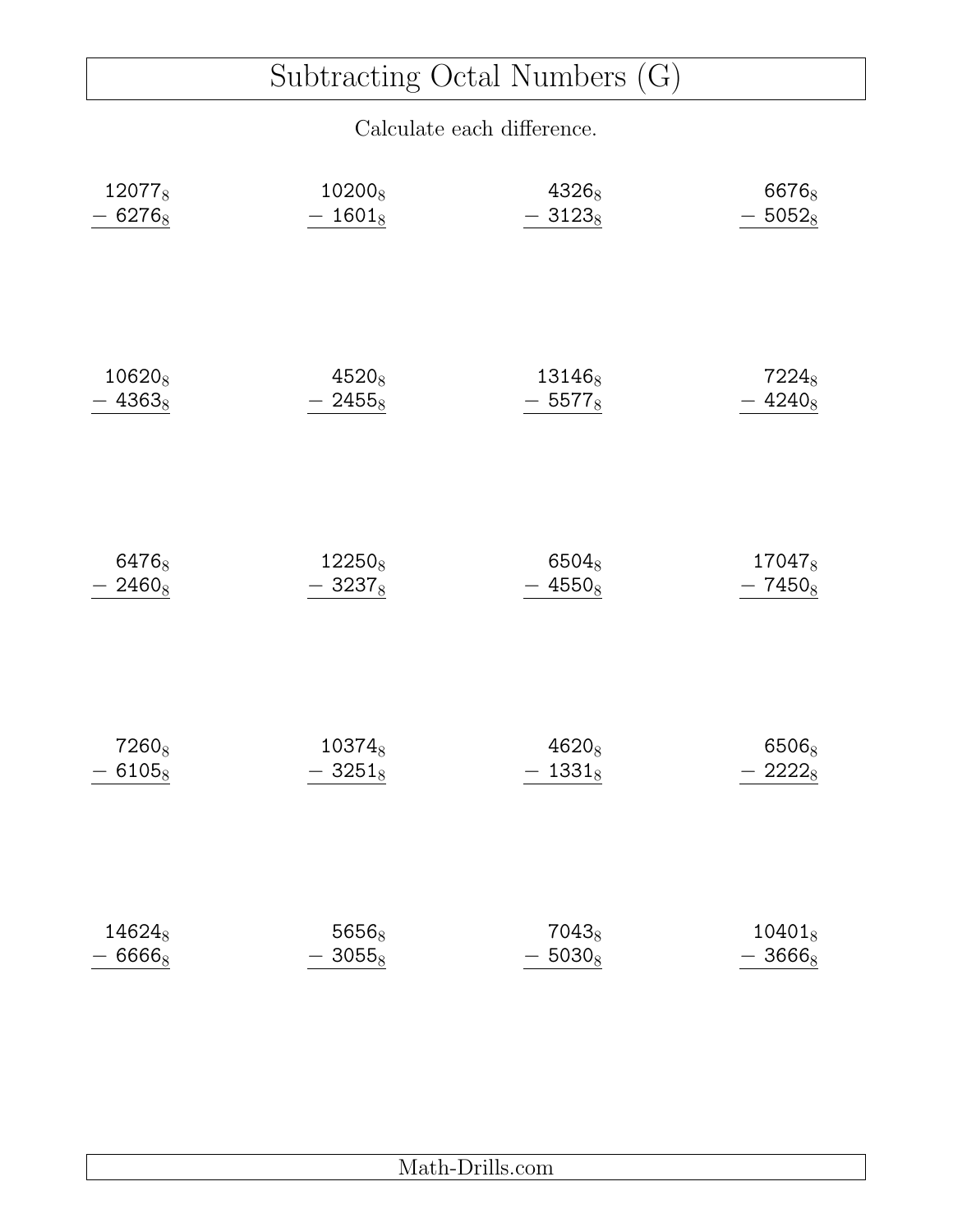# Subtracting Octal Numbers (G)

| 120778             | 10200 <sub>8</sub> | 43268              | 66768             |
|--------------------|--------------------|--------------------|-------------------|
| $-6276_8$          | $-1601_8$          | $-3123_8$          | $-5052_8$         |
| 10620 <sub>8</sub> | $4520_8$           | 13146 <sub>8</sub> | 7224 <sub>8</sub> |
| $-4363_8$          | $-2455_8$          | $-5577_8$          | $-4240_8$         |
| 64768              | 12250 <sub>8</sub> | 6504 <sub>8</sub>  | 170478            |
| $-2460_8$          | $-3237_8$          | $-4550_8$          | $-7450_8$         |
| 7260 <sub>8</sub>  | 103748             | $4620_8$           | 6506 <sub>8</sub> |
| $-6105_8$          | $-3251_8$          | $-1331_8$          | 22228             |
| 146248             | 5656 <sub>8</sub>  | 7043 <sub>8</sub>  | $10401_8$         |
| $-6666_8$          | $-3055_8$          | $-5030_8$          | $-3666_8$         |

| - |
|---|
|   |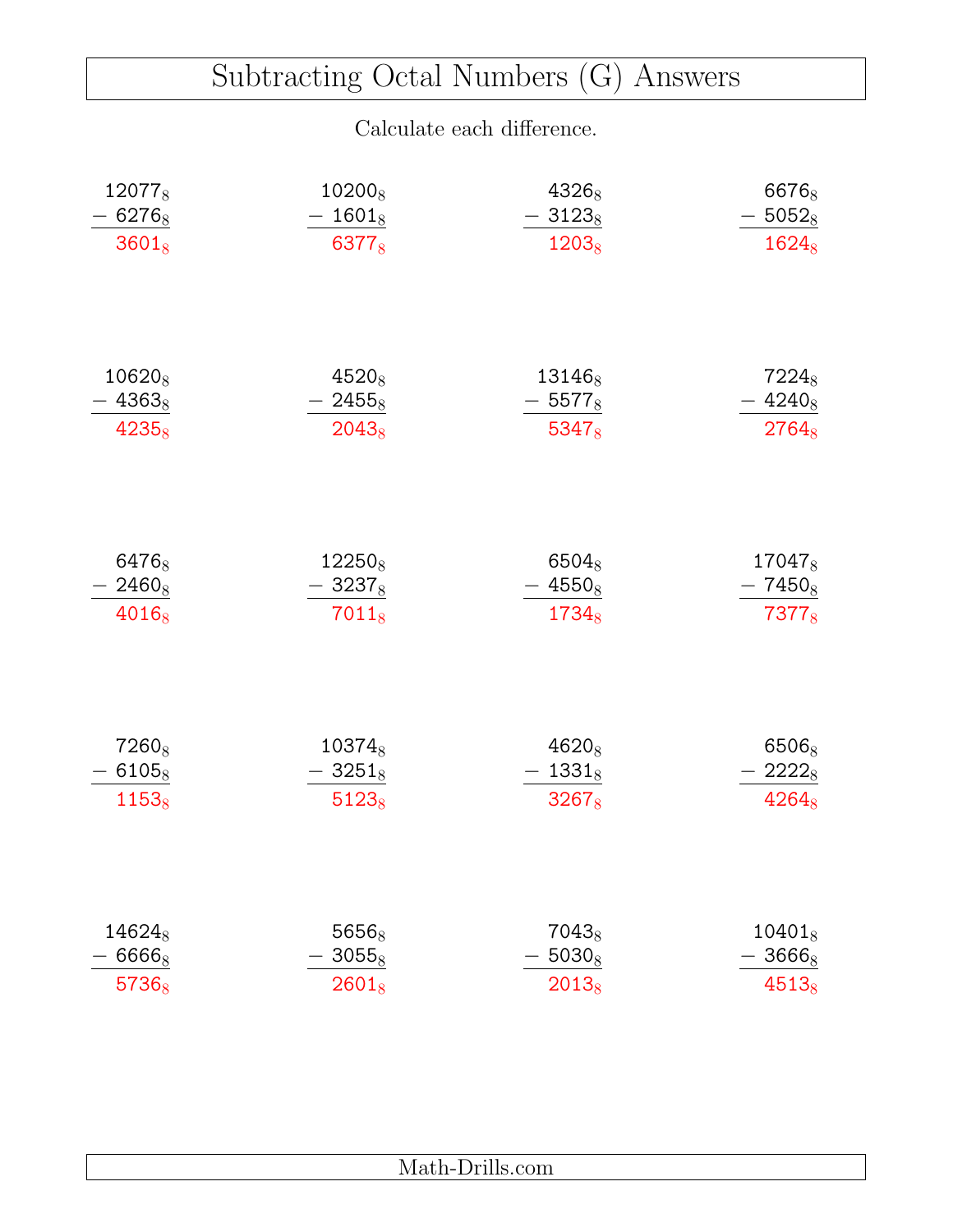### Subtracting Octal Numbers (G) Answers

| 120778            | 102008             | 43268             | 66768             |
|-------------------|--------------------|-------------------|-------------------|
| $-6276_8$         | 1601 <sub>8</sub>  | $-3123_8$         | $-5052_8$         |
| $3601_8$          | 63778              | $1203_8$          | $1624_8$          |
| $10620_8$         | $4520_8$           | $13146_8$         | 7224 <sub>8</sub> |
| $-4363_8$         | $-2455_8$          | $-5577_8$         | $-4240_8$         |
| $4235_8$          | $2043_8$           | $5347_8$          | $2764_8$          |
| 64768             | 12250 <sub>8</sub> | 65048             | 170478            |
| $-2460_8$         | $-3237_8$          | $4550_8$          | $-7450_8$         |
| 4016 <sub>8</sub> | $7011_8$           | 1734 <sub>8</sub> | 7377 <sub>8</sub> |
| 7260 <sub>8</sub> | 10374 <sub>8</sub> | $4620_8$          | 6506 <sub>8</sub> |
| $-6105_8$         | $-3251_8$          | $-1331_8$         | 22228             |
| $1153_8$          | $5123_8$           | 32678             | $4264_8$          |
| 146248            | 56568              | $7043_8$          | $10401_8$         |
| 66668             | $3055_8$           | $5030_8$          | $3666_8$          |
| 57368             | $2601_8$           | $2013_8$          | $4513_8$          |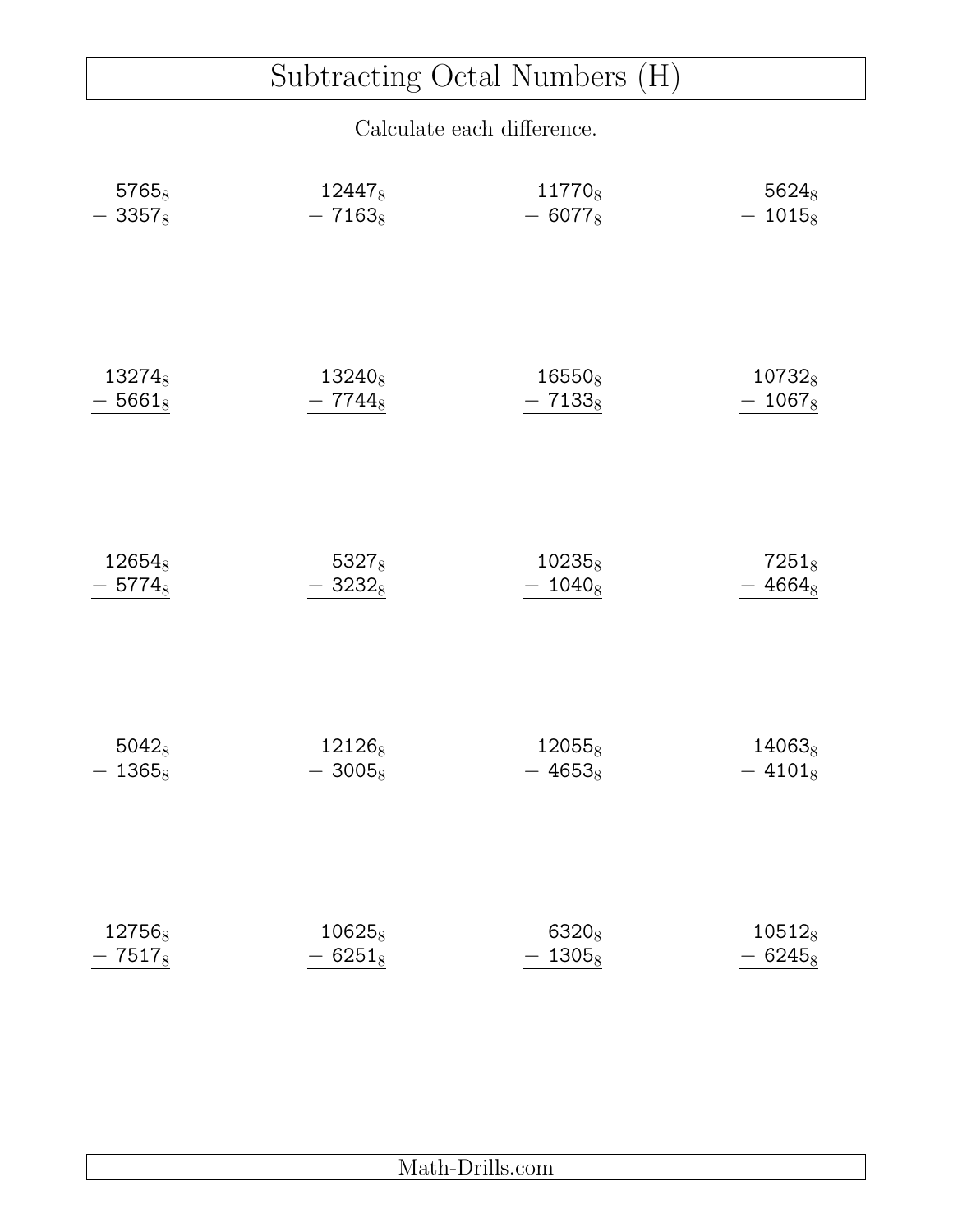# Subtracting Octal Numbers (H)

| 57658              | 124478             | 117708             | 56248              |
|--------------------|--------------------|--------------------|--------------------|
| $-3357_8$          | $-7163_8$          | $-6077_8$          | $-1015_8$          |
| 13274 <sub>8</sub> | 13240 <sub>8</sub> | 16550 <sub>8</sub> | 107328             |
| $-5661_8$          | $-7744_8$          | $-7133_8$          | $-1067_8$          |
| 12654 <sub>8</sub> | $5327_8$           | $10235_8$          | $7251_8$           |
| $-5774_8$          | $-3232_8$          | $-1040_8$          | $-4664_8$          |
| $5042_8$           | 12126 <sub>8</sub> | 12055 <sub>8</sub> | 14063 <sub>8</sub> |
| $-1365_8$          | $-3005_8$          | $-4653_8$          | $-41018$           |
| 127568             | $10625_8$          | 6320 <sub>8</sub>  | $10512_8$          |
| $-7517_8$          | $-6251_8$          | $-1305_8$          | $-6245_8$          |

| <b>STATE</b><br>***<br>-<br>.<br>–<br>-- |
|------------------------------------------|
|                                          |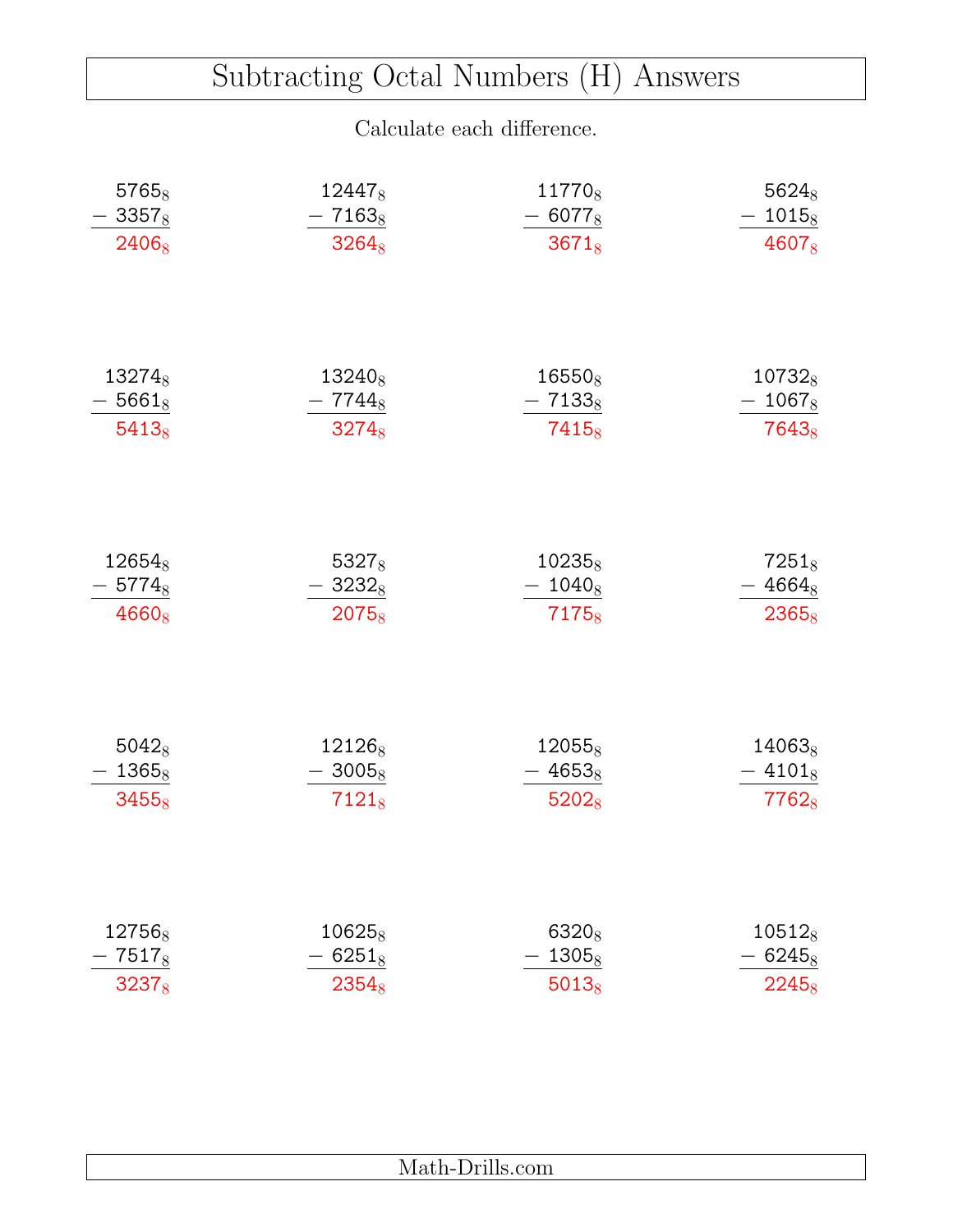### Subtracting Octal Numbers (H) Answers

| 57658                                       | 12447 <sub>8</sub>             | 117708                                   | $5624_8$                                                     |
|---------------------------------------------|--------------------------------|------------------------------------------|--------------------------------------------------------------|
| $-3357_8$                                   | $-7163_8$                      | $-6077_8$                                | $-1015_8$                                                    |
| 2406 <sub>8</sub>                           | $3264_8$                       | $3671_8$                                 | 4607 <sub>8</sub>                                            |
| $13274_8$                                   | 13240 <sub>8</sub>             | $16550_8$                                | $10732_8$                                                    |
| $-5661_8$                                   | $-7744_8$                      | $-7133_8$                                | $1067_8$                                                     |
| $5413_8$                                    | $3274_8$                       | $7415_8$                                 | $7643_8$                                                     |
| 12654 <sub>8</sub><br>$-5774_8$<br>$4660_8$ | 53278<br>$-3232_8$<br>$2075_8$ | 10235 <sub>8</sub><br>$-1040_8$<br>71758 | $7251_8$<br>$4664_8$<br>$\overline{\phantom{0}}$<br>$2365_8$ |
| $5042_8$                                    | 12126 <sub>8</sub>             | $12055_8$                                | $14063_8$                                                    |
| $-1365_8$                                   | $-3005_8$                      | $-4653_8$                                | $-41018$                                                     |
| $3455_8$                                    | $7121_8$                       | 52028                                    | 77628                                                        |
| 12756 <sub>8</sub>                          | $10625_8$                      | 6320 <sub>8</sub>                        | $10512_8$                                                    |
| 7517 <sub>8</sub>                           | $6251_8$                       | $1305_8$                                 | $6245_8$                                                     |
| 32378                                       | $2354_8$                       | $5013_8$                                 | 22458                                                        |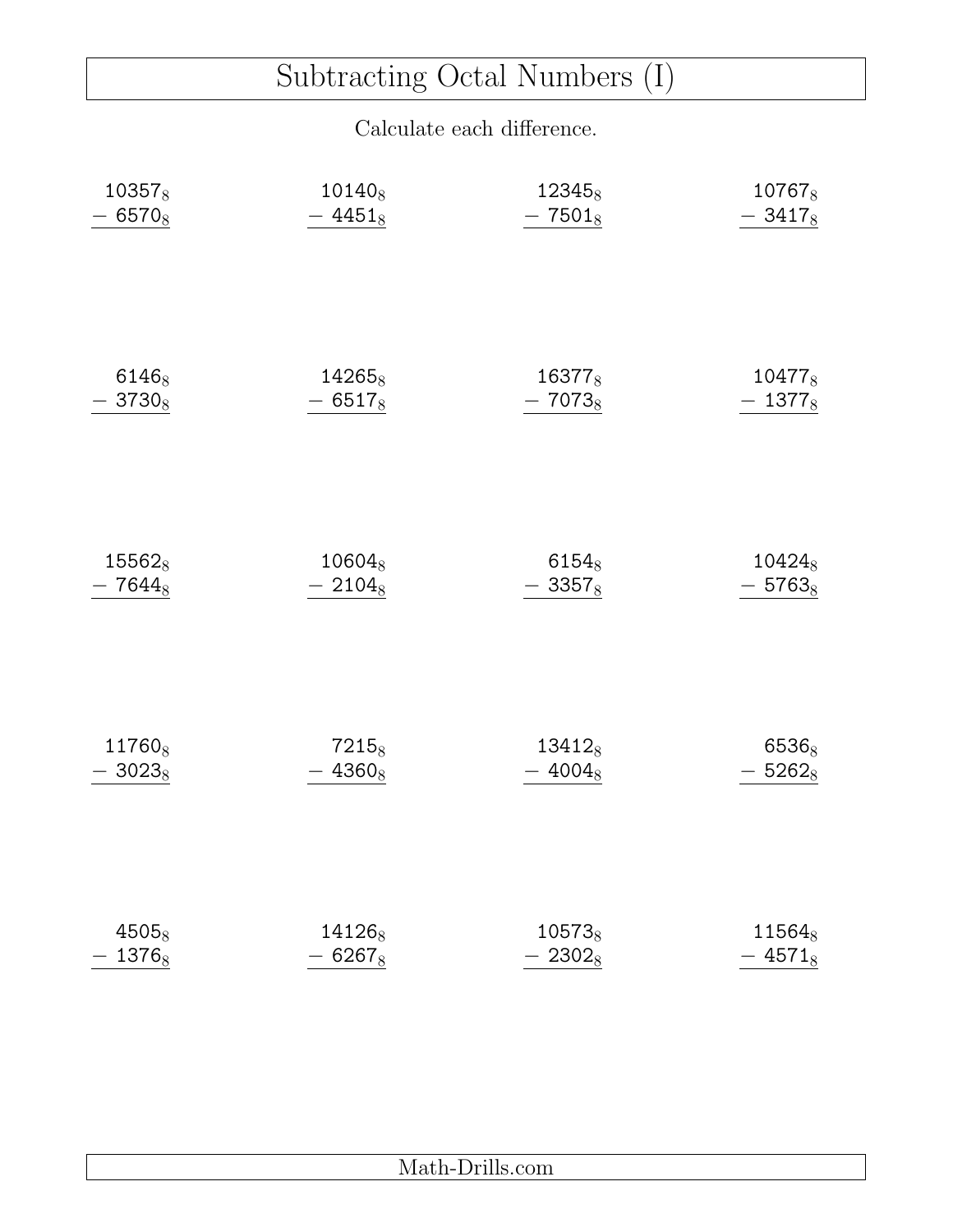# Subtracting Octal Numbers (I)

| 103578             | 10140 <sub>8</sub> | 12345 <sub>8</sub> | 10767 <sub>8</sub> |
|--------------------|--------------------|--------------------|--------------------|
| $-6570_8$          | $-4451_8$          | $-7501_8$          | $-3417_8$          |
| 6146 <sub>8</sub>  | $14265_8$          | 16377 <sub>8</sub> | 104778             |
| $3730_8$           | $-6517_8$          | $-7073_8$          | $-1377_8$          |
| 15562 <sub>8</sub> | $10604_8$          | 6154 <sub>8</sub>  | 104248             |
| $-7644_8$          | $-2104_8$          | $-3357_8$          | $-5763_8$          |
| 11760 <sub>8</sub> | $7215_8$           | $13412_8$          | 6536 <sub>8</sub>  |
| $-3023_8$          | $-4360_8$          | $-4004_8$          | $-5262_8$          |
| 45058              | 141268             | 10573 <sub>8</sub> | 11564 <sub>8</sub> |
| $-1376_8$          | $-6267_8$          | $-2302_8$          | $-4571_8$          |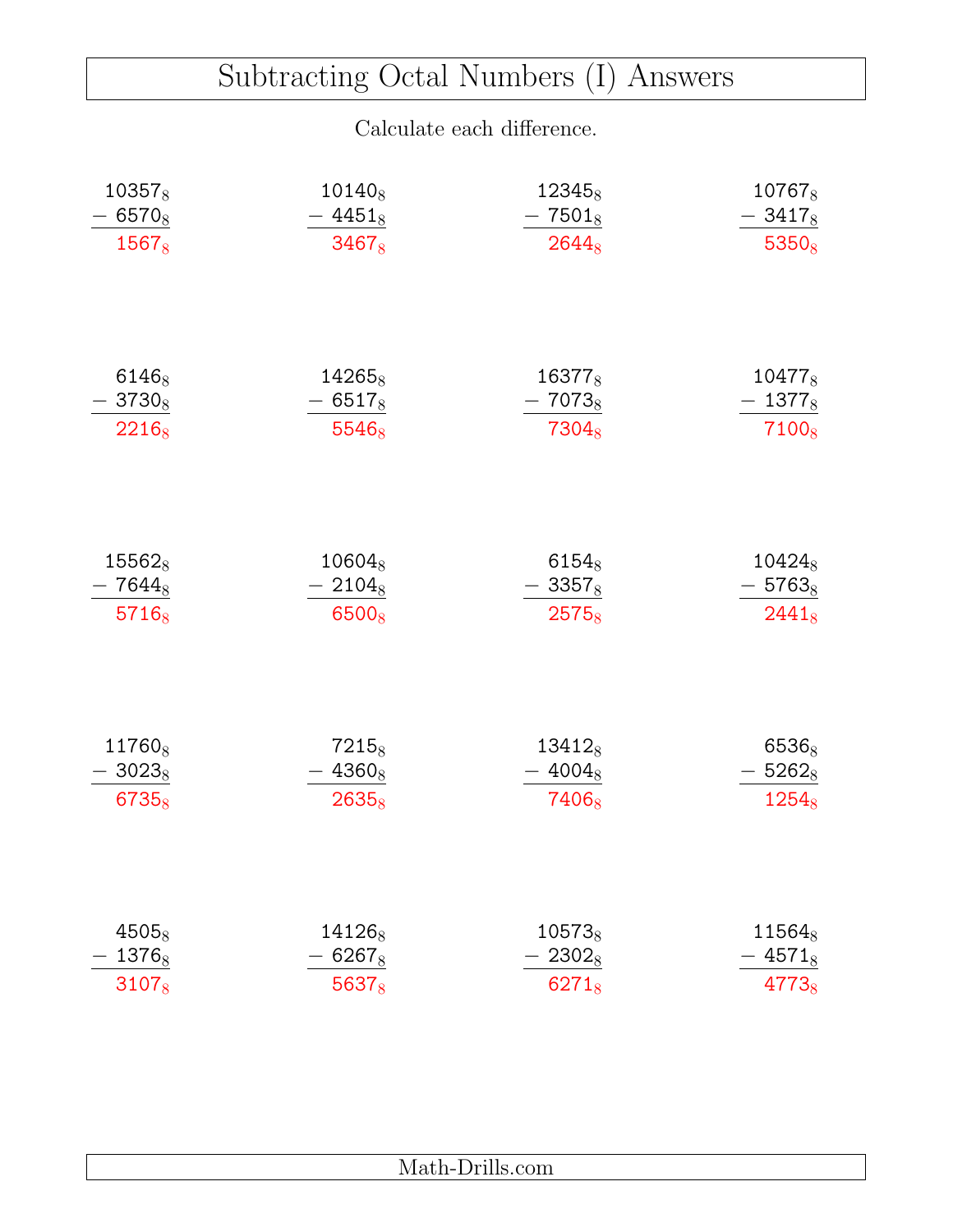### Subtracting Octal Numbers (I) Answers

| $10357_8$          | $10140_8$          | 12345 <sub>8</sub> | 107678             |
|--------------------|--------------------|--------------------|--------------------|
| $-6570_8$          | $-4451_8$          | $-7501_8$          | $-3417_8$          |
| $1567_8$           | $3467_8$           | $2644_8$           | $5350_8$           |
| $6146_8$           | $14265_8$          | 16377 <sub>8</sub> | $10477_8$          |
| $-3730_8$          | $-6517_8$          | $-7073_8$          | $-1377_8$          |
| $2216_8$           | 5546 <sub>8</sub>  | 7304 <sub>8</sub>  | 7100 <sub>8</sub>  |
| 15562 <sub>8</sub> | 10604 <sub>8</sub> | $6154_8$           | 104248             |
| $-7644_8$          | $-2104_8$          | $-3357_8$          | $-5763_8$          |
| $5716_8$           | 6500 <sub>8</sub>  | $2575_8$           | $2441_8$           |
| 11760 <sub>8</sub> | 7215 <sub>8</sub>  | $13412_8$          | 6536 <sub>8</sub>  |
| $-3023_8$          | $-4360_8$          | $-4004_8$          | $-5262_8$          |
| 67358              | $2635_8$           | 7406 <sub>8</sub>  | $1254_8$           |
| 4505 <sub>8</sub>  | 141268             | $10573_8$          | 11564 <sub>8</sub> |
| 13768              | $6267_8$           | $2302_8$           | $4571_8$           |
| $3107_8$           | 5637 <sub>8</sub>  | $6271_8$           | 4773 <sub>8</sub>  |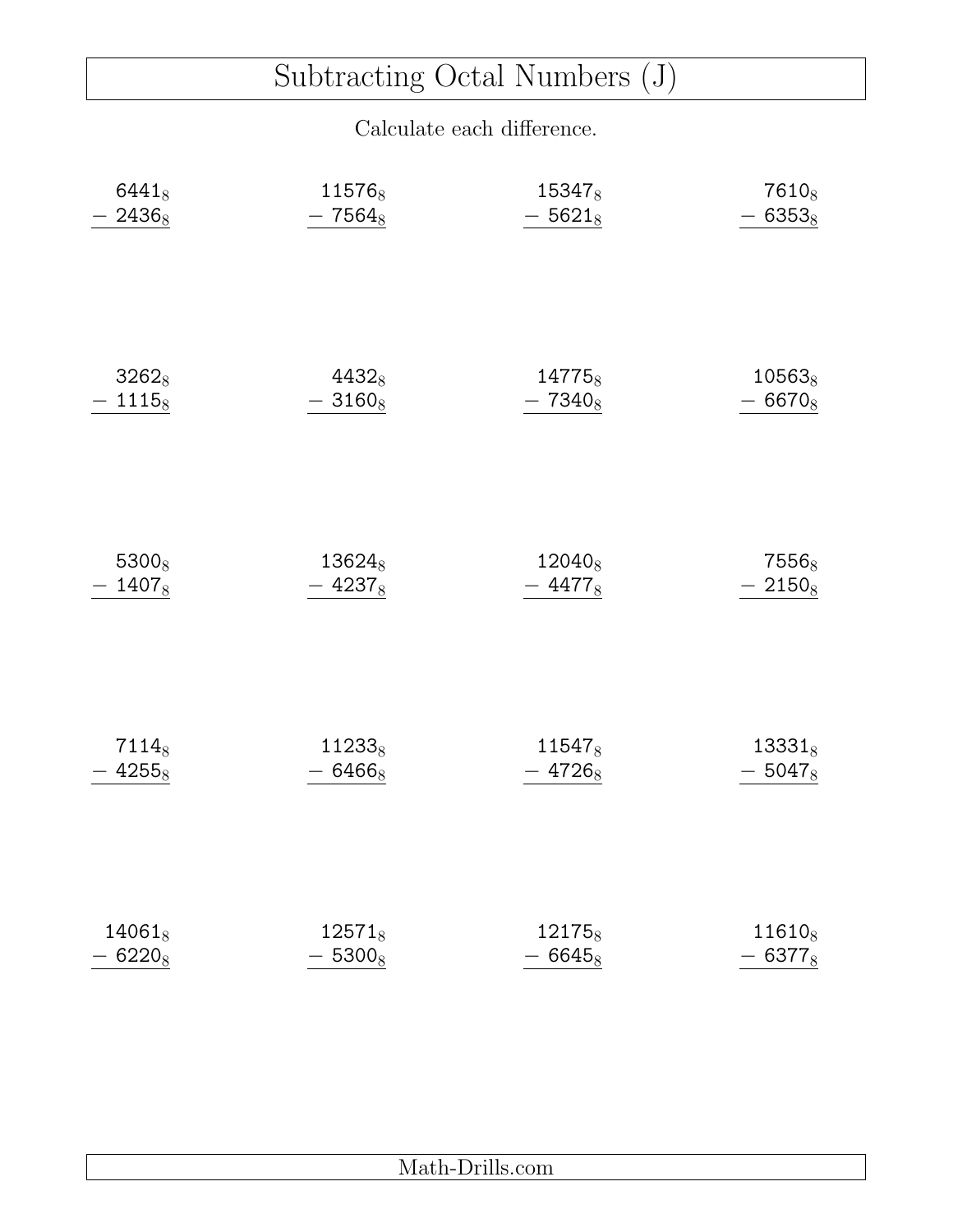# Subtracting Octal Numbers (J)

| $6441_8$  | 115768             | 153478             | 7610 <sub>8</sub>  |
|-----------|--------------------|--------------------|--------------------|
| $2436_8$  | $-7564_8$          | $-5621_8$          | $-6353_8$          |
| $3262_8$  | $4432_8$           | 14775 <sub>8</sub> | $10563_8$          |
| $-1115_8$ | $-3160_8$          | $-7340_8$          | $-6670_8$          |
| 53008     | 136248             | 120408             | 7556 <sub>8</sub>  |
| $-1407_8$ | $-4237_8$          | $-4477_8$          | $-2150_8$          |
| $7114_8$  | 11233 <sub>8</sub> | 11547 <sub>8</sub> | $13331_8$          |
| $-4255_8$ | $-6466_8$          | $-4726_8$          | $-5047_8$          |
| $14061_8$ | $12571_8$          | 121758             | 11610 <sub>8</sub> |
| $-6220_8$ | $-5300_8$          | $-6645_8$          | $-6377_8$          |

| $\ldots$ |
|----------|